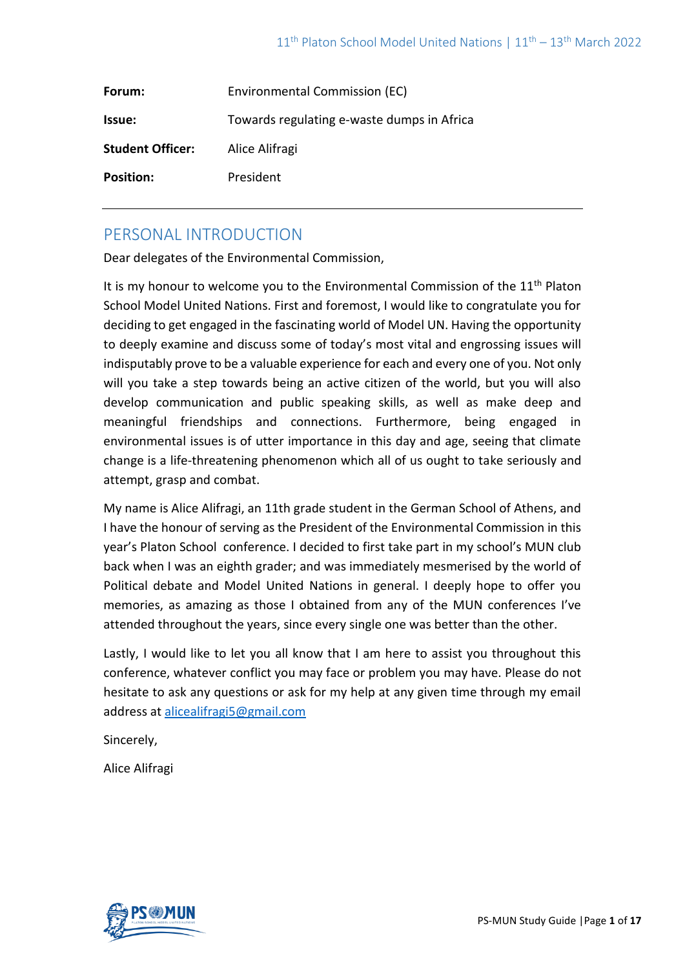| Forum:                  | Environmental Commission (EC)              |
|-------------------------|--------------------------------------------|
| Issue:                  | Towards regulating e-waste dumps in Africa |
| <b>Student Officer:</b> | Alice Alifragi                             |
| <b>Position:</b>        | President                                  |

# PERSONAL INTRODUCTION

Dear delegates of the Environmental Commission,

It is my honour to welcome you to the Environmental Commission of the 11<sup>th</sup> Platon School Model United Nations. First and foremost, I would like to congratulate you for deciding to get engaged in the fascinating world of Model UN. Having the opportunity to deeply examine and discuss some of today's most vital and engrossing issues will indisputably prove to be a valuable experience for each and every one of you. Not only will you take a step towards being an active citizen of the world, but you will also develop communication and public speaking skills, as well as make deep and meaningful friendships and connections. Furthermore, being engaged in environmental issues is of utter importance in this day and age, seeing that climate change is a life-threatening phenomenon which all of us ought to take seriously and attempt, grasp and combat.

My name is Alice Alifragi, an 11th grade student in the German School of Athens, and I have the honour of serving as the President of the Environmental Commission in this year's Platon School conference. I decided to first take part in my school's MUN club back when I was an eighth grader; and was immediately mesmerised by the world of Political debate and Model United Nations in general. I deeply hope to offer you memories, as amazing as those I obtained from any of the MUN conferences I've attended throughout the years, since every single one was better than the other.

Lastly, I would like to let you all know that I am here to assist you throughout this conference, whatever conflict you may face or problem you may have. Please do not hesitate to ask any questions or ask for my help at any given time through my email address at [alicealifragi5@gmail.com](mailto:alicealifragi5@gmail.com)

Sincerely,

Alice Alifragi

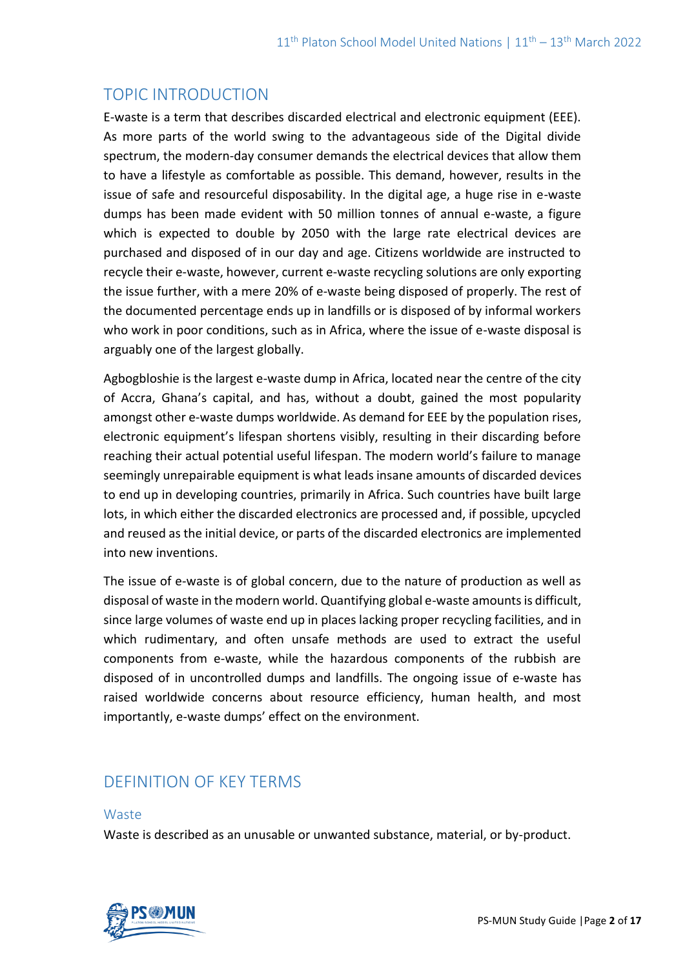# TOPIC INTRODUCTION

E-waste is a term that describes discarded electrical and electronic equipment (EEE). As more parts of the world swing to the advantageous side of the Digital divide spectrum, the modern-day consumer demands the electrical devices that allow them to have a lifestyle as comfortable as possible. This demand, however, results in the issue of safe and resourceful disposability. In the digital age, a huge rise in e-waste dumps has been made evident with 50 million tonnes of annual e-waste, a figure which is expected to double by 2050 with the large rate electrical devices are purchased and disposed of in our day and age. Citizens worldwide are instructed to recycle their e-waste, however, current e-waste recycling solutions are only exporting the issue further, with a mere 20% of e-waste being disposed of properly. The rest of the documented percentage ends up in landfills or is disposed of by informal workers who work in poor conditions, such as in Africa, where the issue of e-waste disposal is arguably one of the largest globally.

Agbogbloshie is the largest e-waste dump in Africa, located near the centre of the city of Accra, Ghana's capital, and has, without a doubt, gained the most popularity amongst other e-waste dumps worldwide. As demand for EEE by the population rises, electronic equipment's lifespan shortens visibly, resulting in their discarding before reaching their actual potential useful lifespan. The modern world's failure to manage seemingly unrepairable equipment is what leads insane amounts of discarded devices to end up in developing countries, primarily in Africa. Such countries have built large lots, in which either the discarded electronics are processed and, if possible, upcycled and reused as the initial device, or parts of the discarded electronics are implemented into new inventions.

The issue of e-waste is of global concern, due to the nature of production as well as disposal of waste in the modern world. Quantifying global e-waste amounts is difficult, since large volumes of waste end up in places lacking proper recycling facilities, and in which rudimentary, and often unsafe methods are used to extract the useful components from e-waste, while the hazardous components of the rubbish are disposed of in uncontrolled dumps and landfills. The ongoing issue of e-waste has raised worldwide concerns about resource efficiency, human health, and most importantly, e-waste dumps' effect on the environment.

# DEFINITION OF KEY TERMS

#### **Waste**

Waste is described as an unusable or unwanted substance, material, or by-product.

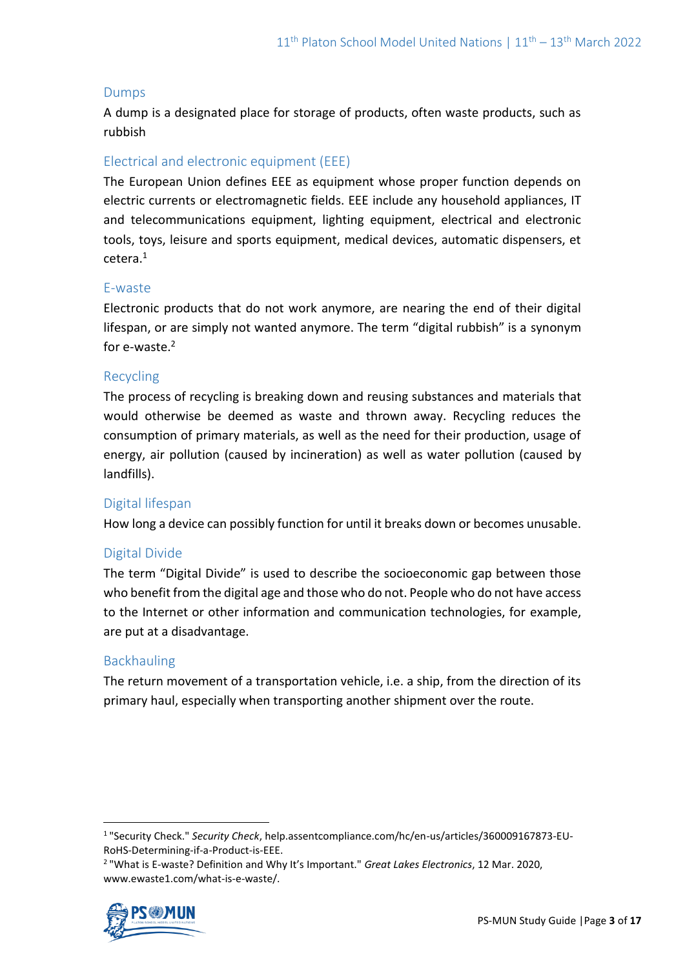### Dumps

A dump is a designated place for storage of products, often waste products, such as rubbish

## Electrical and electronic equipment (EEE)

The European Union defines EEE as equipment whose proper function depends on electric currents or electromagnetic fields. EEE include any household appliances, IT and telecommunications equipment, lighting equipment, electrical and electronic tools, toys, leisure and sports equipment, medical devices, automatic dispensers, et cetera.<sup>1</sup>

#### E-waste

Electronic products that do not work anymore, are nearing the end of their digital lifespan, or are simply not wanted anymore. The term "digital rubbish" is a synonym for  $e$ -waste. $2$ 

#### Recycling

The process of recycling is breaking down and reusing substances and materials that would otherwise be deemed as waste and thrown away. Recycling reduces the consumption of primary materials, as well as the need for their production, usage of energy, air pollution (caused by incineration) as well as water pollution (caused by landfills).

## Digital lifespan

How long a device can possibly function for until it breaks down or becomes unusable.

## Digital Divide

The term "Digital Divide" is used to describe the socioeconomic gap between those who benefit from the digital age and those who do not. People who do not have access to the Internet or other information and communication technologies, for example, are put at a disadvantage.

## Backhauling

The return movement of a transportation vehicle, i.e. a ship, from the direction of its primary haul, especially when transporting another shipment over the route.

<sup>2</sup> "What is E-waste? Definition and Why It's Important." *Great Lakes Electronics*, 12 Mar. 2020, www.ewaste1.com/what-is-e-waste/.



<sup>1</sup> "Security Check." *Security Check*, help.assentcompliance.com/hc/en-us/articles/360009167873-EU-RoHS-Determining-if-a-Product-is-EEE.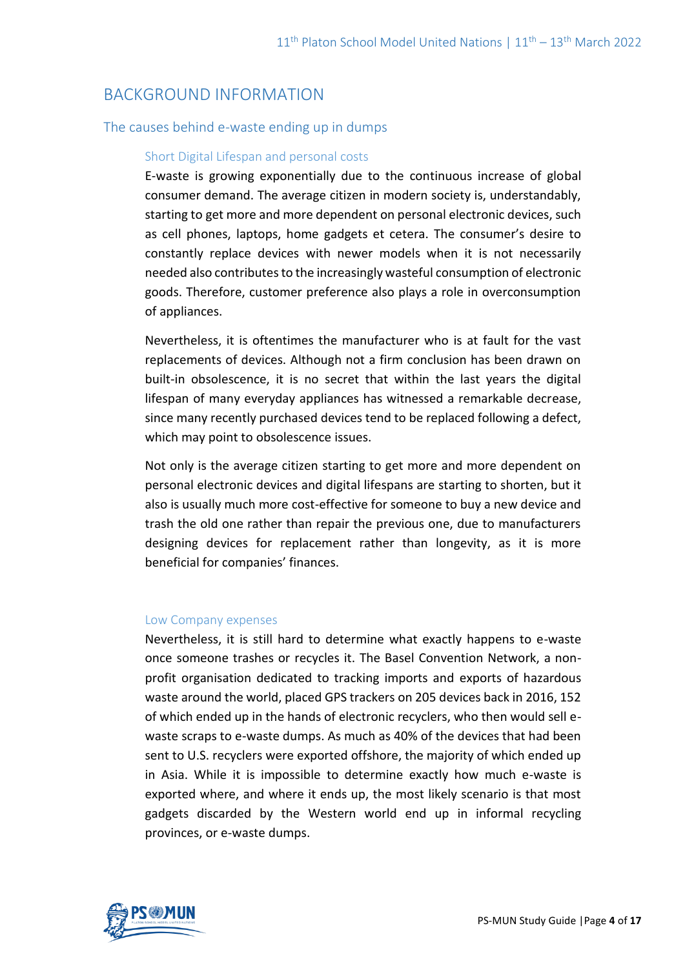# BACKGROUND INFORMATION

## The causes behind e-waste ending up in dumps

## Short Digital Lifespan and personal costs

E-waste is growing exponentially due to the continuous increase of global consumer demand. The average citizen in modern society is, understandably, starting to get more and more dependent on personal electronic devices, such as cell phones, laptops, home gadgets et cetera. The consumer's desire to constantly replace devices with newer models when it is not necessarily needed also contributes to the increasingly wasteful consumption of electronic goods. Therefore, customer preference also plays a role in overconsumption of appliances.

Nevertheless, it is oftentimes the manufacturer who is at fault for the vast replacements of devices. Although not a firm conclusion has been drawn on built-in obsolescence, it is no secret that within the last years the digital lifespan of many everyday appliances has witnessed a remarkable decrease, since many recently purchased devices tend to be replaced following a defect, which may point to obsolescence issues.

Not only is the average citizen starting to get more and more dependent on personal electronic devices and digital lifespans are starting to shorten, but it also is usually much more cost-effective for someone to buy a new device and trash the old one rather than repair the previous one, due to manufacturers designing devices for replacement rather than longevity, as it is more beneficial for companies' finances.

#### Low Company expenses

Nevertheless, it is still hard to determine what exactly happens to e-waste once someone trashes or recycles it. The Basel Convention Network, a nonprofit organisation dedicated to tracking imports and exports of hazardous waste around the world, placed GPS trackers on 205 devices back in 2016, 152 of which ended up in the hands of electronic recyclers, who then would sell ewaste scraps to e-waste dumps. As much as 40% of the devices that had been sent to U.S. recyclers were exported offshore, the majority of which ended up in Asia. While it is impossible to determine exactly how much e-waste is exported where, and where it ends up, the most likely scenario is that most gadgets discarded by the Western world end up in informal recycling provinces, or e-waste dumps.

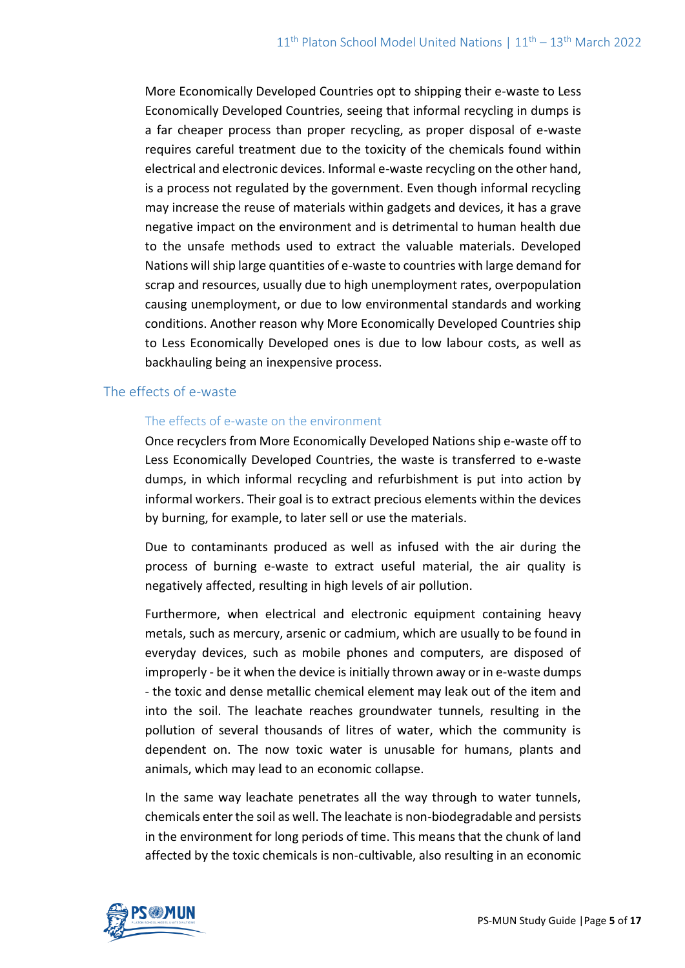More Economically Developed Countries opt to shipping their e-waste to Less Economically Developed Countries, seeing that informal recycling in dumps is a far cheaper process than proper recycling, as proper disposal of e-waste requires careful treatment due to the toxicity of the chemicals found within electrical and electronic devices. Informal e-waste recycling on the other hand, is a process not regulated by the government. Even though informal recycling may increase the reuse of materials within gadgets and devices, it has a grave negative impact on the environment and is detrimental to human health due to the unsafe methods used to extract the valuable materials. Developed Nations will ship large quantities of e-waste to countries with large demand for scrap and resources, usually due to high unemployment rates, overpopulation causing unemployment, or due to low environmental standards and working conditions. Another reason why More Economically Developed Countries ship to Less Economically Developed ones is due to low labour costs, as well as backhauling being an inexpensive process.

#### The effects of e-waste

#### The effects of e-waste on the environment

Once recyclers from More Economically Developed Nations ship e-waste off to Less Economically Developed Countries, the waste is transferred to e-waste dumps, in which informal recycling and refurbishment is put into action by informal workers. Their goal is to extract precious elements within the devices by burning, for example, to later sell or use the materials.

Due to contaminants produced as well as infused with the air during the process of burning e-waste to extract useful material, the air quality is negatively affected, resulting in high levels of air pollution.

Furthermore, when electrical and electronic equipment containing heavy metals, such as mercury, arsenic or cadmium, which are usually to be found in everyday devices, such as mobile phones and computers, are disposed of improperly - be it when the device is initially thrown away or in e-waste dumps - the toxic and dense metallic chemical element may leak out of the item and into the soil. The leachate reaches groundwater tunnels, resulting in the pollution of several thousands of litres of water, which the community is dependent on. The now toxic water is unusable for humans, plants and animals, which may lead to an economic collapse.

In the same way leachate penetrates all the way through to water tunnels, chemicals enter the soil as well. The leachate is non-biodegradable and persists in the environment for long periods of time. This means that the chunk of land affected by the toxic chemicals is non-cultivable, also resulting in an economic

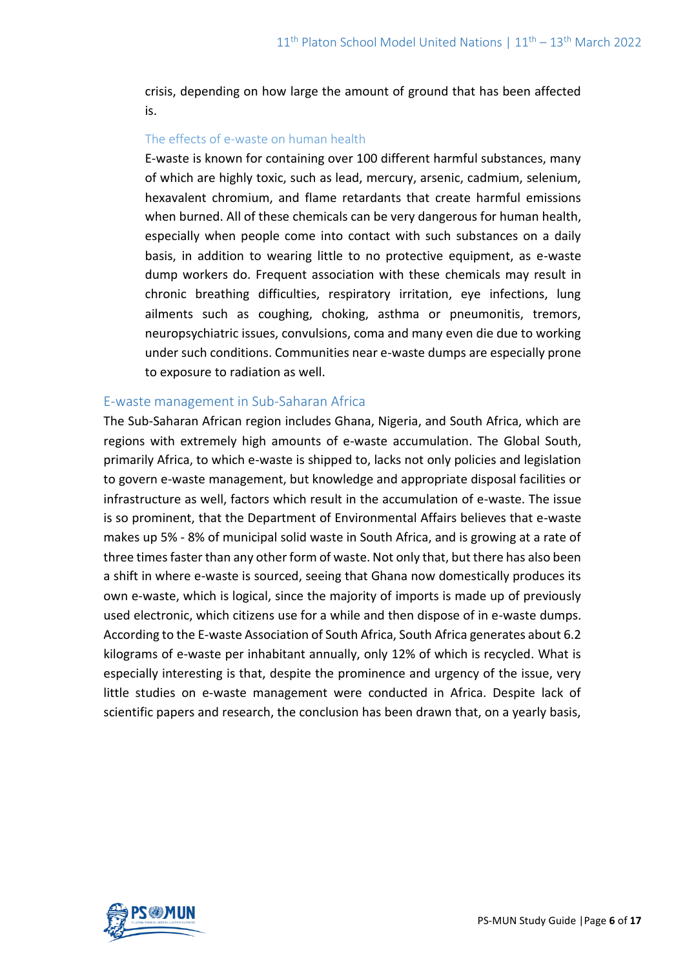crisis, depending on how large the amount of ground that has been affected is.

#### The effects of e-waste on human health

E-waste is known for containing over 100 different harmful substances, many of which are highly toxic, such as lead, mercury, arsenic, cadmium, selenium, hexavalent chromium, and flame retardants that create harmful emissions when burned. All of these chemicals can be very dangerous for human health, especially when people come into contact with such substances on a daily basis, in addition to wearing little to no protective equipment, as e-waste dump workers do. Frequent association with these chemicals may result in chronic breathing difficulties, respiratory irritation, eye infections, lung ailments such as coughing, choking, asthma or pneumonitis, tremors, neuropsychiatric issues, convulsions, coma and many even die due to working under such conditions. Communities near e-waste dumps are especially prone to exposure to radiation as well.

#### E-waste management in Sub-Saharan Africa

The Sub-Saharan African region includes Ghana, Nigeria, and South Africa, which are regions with extremely high amounts of e-waste accumulation. The Global South, primarily Africa, to which e-waste is shipped to, lacks not only policies and legislation to govern e-waste management, but knowledge and appropriate disposal facilities or infrastructure as well, factors which result in the accumulation of e-waste. The issue is so prominent, that the Department of Environmental Affairs believes that e-waste makes up 5% - 8% of municipal solid waste in South Africa, and is growing at a rate of three times faster than any other form of waste. Not only that, but there has also been a shift in where e-waste is sourced, seeing that Ghana now domestically produces its own e-waste, which is logical, since the majority of imports is made up of previously used electronic, which citizens use for a while and then dispose of in e-waste dumps. According to the E-waste Association of South Africa, South Africa generates about 6.2 kilograms of e-waste per inhabitant annually, only 12% of which is recycled. What is especially interesting is that, despite the prominence and urgency of the issue, very little studies on e-waste management were conducted in Africa. Despite lack of scientific papers and research, the conclusion has been drawn that, on a yearly basis,

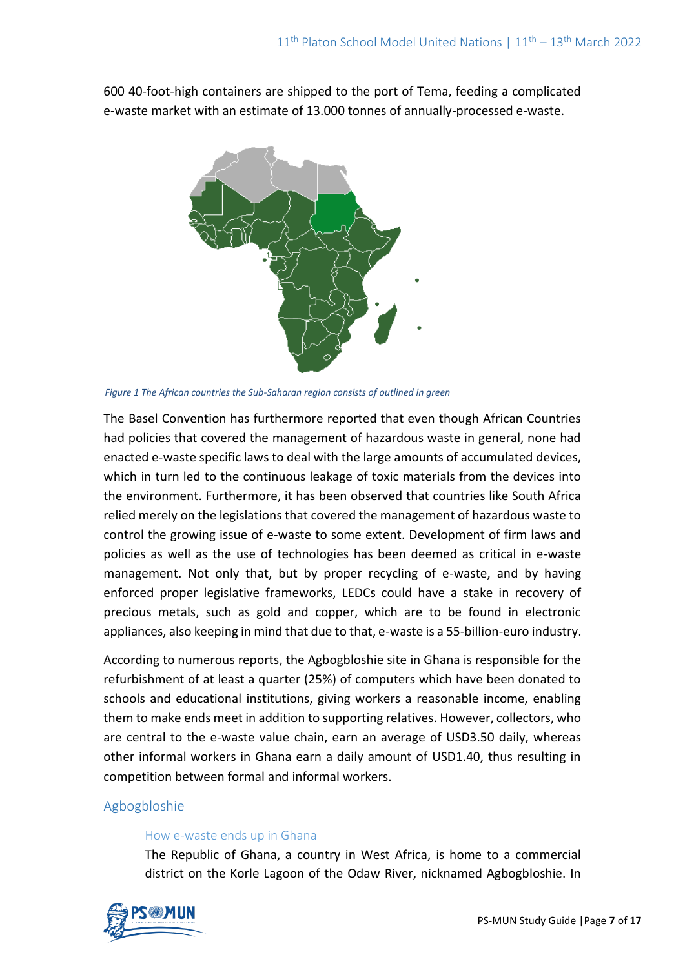600 40-foot-high containers are shipped to the port of Tema, feeding a complicated e-waste market with an estimate of 13.000 tonnes of annually-processed e-waste.



*Figure 1 The African countries the Sub-Saharan region consists of outlined in green*

The Basel Convention has furthermore reported that even though African Countries had policies that covered the management of hazardous waste in general, none had enacted e-waste specific laws to deal with the large amounts of accumulated devices, which in turn led to the continuous leakage of toxic materials from the devices into the environment. Furthermore, it has been observed that countries like South Africa relied merely on the legislations that covered the management of hazardous waste to control the growing issue of e-waste to some extent. Development of firm laws and policies as well as the use of technologies has been deemed as critical in e-waste management. Not only that, but by proper recycling of e-waste, and by having enforced proper legislative frameworks, LEDCs could have a stake in recovery of precious metals, such as gold and copper, which are to be found in electronic appliances, also keeping in mind that due to that, e-waste is a 55-billion-euro industry.

According to numerous reports, the Agbogbloshie site in Ghana is responsible for the refurbishment of at least a quarter (25%) of computers which have been donated to schools and educational institutions, giving workers a reasonable income, enabling them to make ends meet in addition to supporting relatives. However, collectors, who are central to the e-waste value chain, earn an average of USD3.50 daily, whereas other informal workers in Ghana earn a daily amount of USD1.40, thus resulting in competition between formal and informal workers.

## Agbogbloshie

#### How e-waste ends up in Ghana

The Republic of Ghana, a country in West Africa, is home to a commercial district on the Korle Lagoon of the Odaw River, nicknamed Agbogbloshie. In

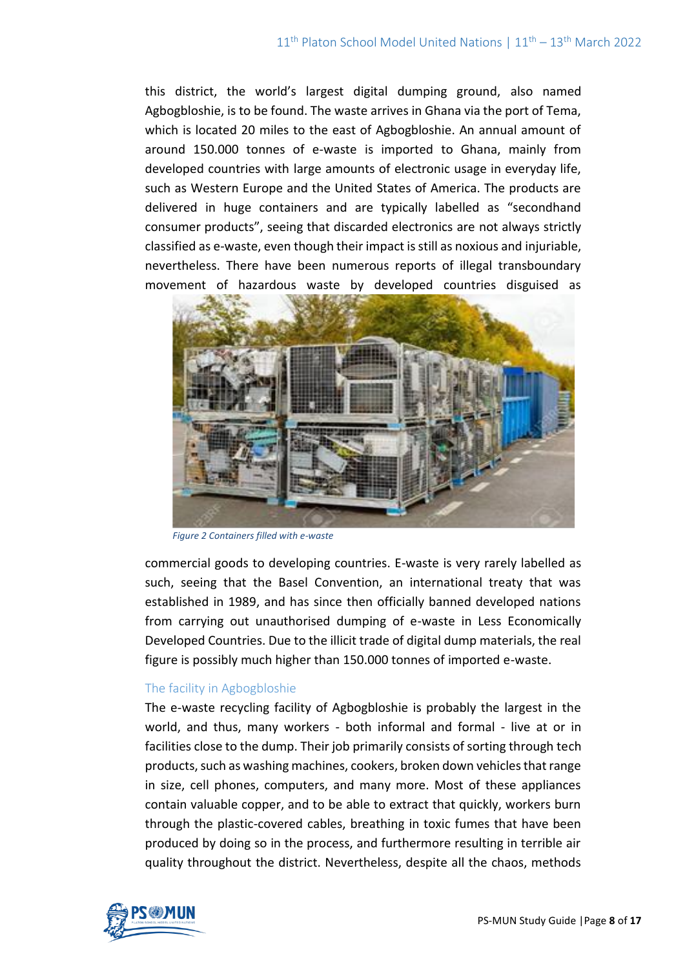this district, the world's largest digital dumping ground, also named Agbogbloshie, is to be found. The waste arrives in Ghana via the port of Tema, which is located 20 miles to the east of Agbogbloshie. An annual amount of around 150.000 tonnes of e-waste is imported to Ghana, mainly from developed countries with large amounts of electronic usage in everyday life, such as Western Europe and the United States of America. The products are delivered in huge containers and are typically labelled as "secondhand consumer products", seeing that discarded electronics are not always strictly classified as e-waste, even though their impact is still as noxious and injuriable, nevertheless. There have been numerous reports of illegal transboundary movement of hazardous waste by developed countries disguised as



*Figure 2 Containers filled with e-waste*

commercial goods to developing countries. E-waste is very rarely labelled as such, seeing that the Basel Convention, an international treaty that was established in 1989, and has since then officially banned developed nations from carrying out unauthorised dumping of e-waste in Less Economically Developed Countries. Due to the illicit trade of digital dump materials, the real figure is possibly much higher than 150.000 tonnes of imported e-waste.

#### The facility in Agbogbloshie

The e-waste recycling facility of Agbogbloshie is probably the largest in the world, and thus, many workers - both informal and formal - live at or in facilities close to the dump. Their job primarily consists of sorting through tech products, such as washing machines, cookers, broken down vehicles that range in size, cell phones, computers, and many more. Most of these appliances contain valuable copper, and to be able to extract that quickly, workers burn through the plastic-covered cables, breathing in toxic fumes that have been produced by doing so in the process, and furthermore resulting in terrible air quality throughout the district. Nevertheless, despite all the chaos, methods

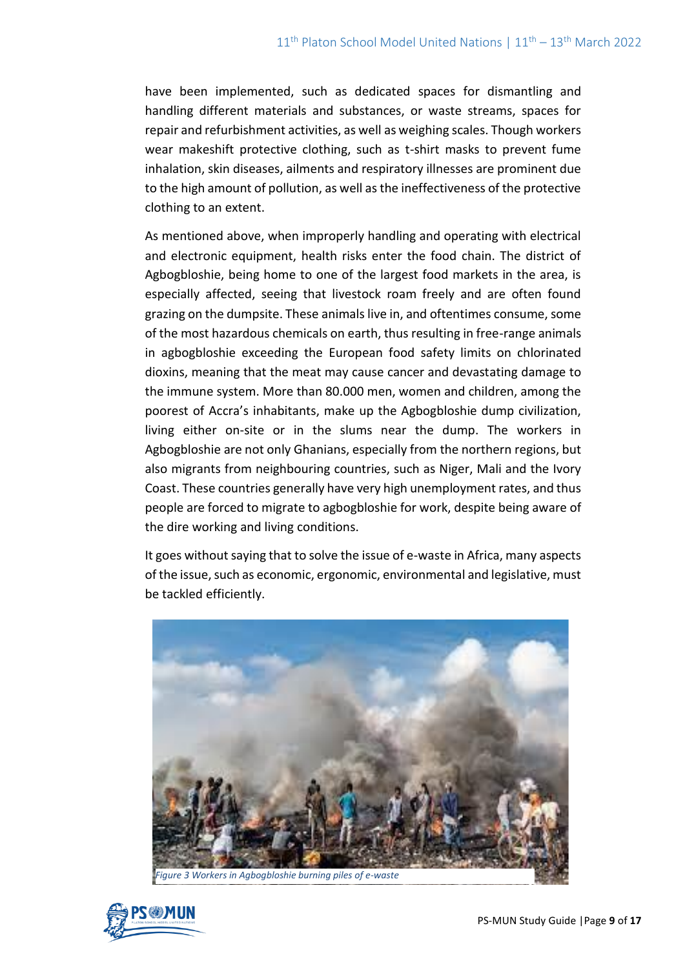have been implemented, such as dedicated spaces for dismantling and handling different materials and substances, or waste streams, spaces for repair and refurbishment activities, as well as weighing scales. Though workers wear makeshift protective clothing, such as t-shirt masks to prevent fume inhalation, skin diseases, ailments and respiratory illnesses are prominent due to the high amount of pollution, as well as the ineffectiveness of the protective clothing to an extent.

As mentioned above, when improperly handling and operating with electrical and electronic equipment, health risks enter the food chain. The district of Agbogbloshie, being home to one of the largest food markets in the area, is especially affected, seeing that livestock roam freely and are often found grazing on the dumpsite. These animals live in, and oftentimes consume, some of the most hazardous chemicals on earth, thus resulting in free-range animals in agbogbloshie exceeding the European food safety limits on chlorinated dioxins, meaning that the meat may cause cancer and devastating damage to the immune system. More than 80.000 men, women and children, among the poorest of Accra's inhabitants, make up the Agbogbloshie dump civilization, living either on-site or in the slums near the dump. The workers in Agbogbloshie are not only Ghanians, especially from the northern regions, but also migrants from neighbouring countries, such as Niger, Mali and the Ivory Coast. These countries generally have very high unemployment rates, and thus people are forced to migrate to agbogbloshie for work, despite being aware of the dire working and living conditions.

It goes without saying that to solve the issue of e-waste in Africa, many aspects of the issue, such as economic, ergonomic, environmental and legislative, must be tackled efficiently.



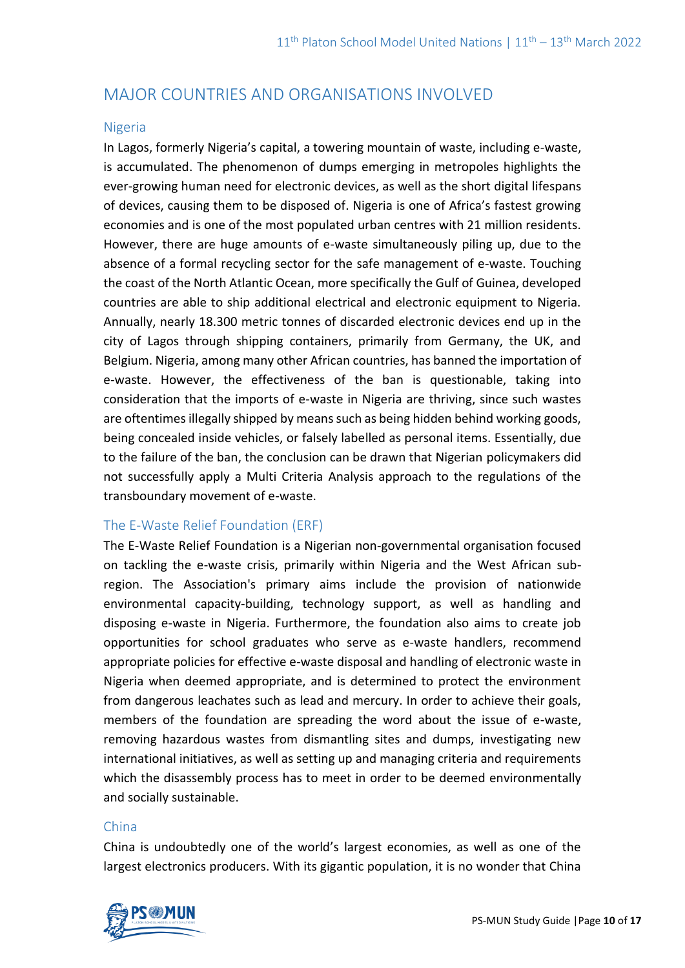# MAJOR COUNTRIES AND ORGANISATIONS INVOLVED

#### Nigeria

In Lagos, formerly Nigeria's capital, a towering mountain of waste, including e-waste, is accumulated. The phenomenon of dumps emerging in metropoles highlights the ever-growing human need for electronic devices, as well as the short digital lifespans of devices, causing them to be disposed of. Nigeria is one of Africa's fastest growing economies and is one of the most populated urban centres with 21 million residents. However, there are huge amounts of e-waste simultaneously piling up, due to the absence of a formal recycling sector for the safe management of e-waste. Touching the coast of the North Atlantic Ocean, more specifically the Gulf of Guinea, developed countries are able to ship additional electrical and electronic equipment to Nigeria. Annually, nearly 18.300 metric tonnes of discarded electronic devices end up in the city of Lagos through shipping containers, primarily from Germany, the UK, and Belgium. Nigeria, among many other African countries, has banned the importation of e-waste. However, the effectiveness of the ban is questionable, taking into consideration that the imports of e-waste in Nigeria are thriving, since such wastes are oftentimes illegally shipped by means such as being hidden behind working goods, being concealed inside vehicles, or falsely labelled as personal items. Essentially, due to the failure of the ban, the conclusion can be drawn that Nigerian policymakers did not successfully apply a Multi Criteria Analysis approach to the regulations of the transboundary movement of e-waste.

## The E-Waste Relief Foundation (ERF)

The E-Waste Relief Foundation is a Nigerian non-governmental organisation focused on tackling the e-waste crisis, primarily within Nigeria and the West African subregion. The Association's primary aims include the provision of nationwide environmental capacity-building, technology support, as well as handling and disposing e-waste in Nigeria. Furthermore, the foundation also aims to create job opportunities for school graduates who serve as e-waste handlers, recommend appropriate policies for effective e-waste disposal and handling of electronic waste in Nigeria when deemed appropriate, and is determined to protect the environment from dangerous leachates such as lead and mercury. In order to achieve their goals, members of the foundation are spreading the word about the issue of e-waste, removing hazardous wastes from dismantling sites and dumps, investigating new international initiatives, as well as setting up and managing criteria and requirements which the disassembly process has to meet in order to be deemed environmentally and socially sustainable.

#### China

China is undoubtedly one of the world's largest economies, as well as one of the largest electronics producers. With its gigantic population, it is no wonder that China

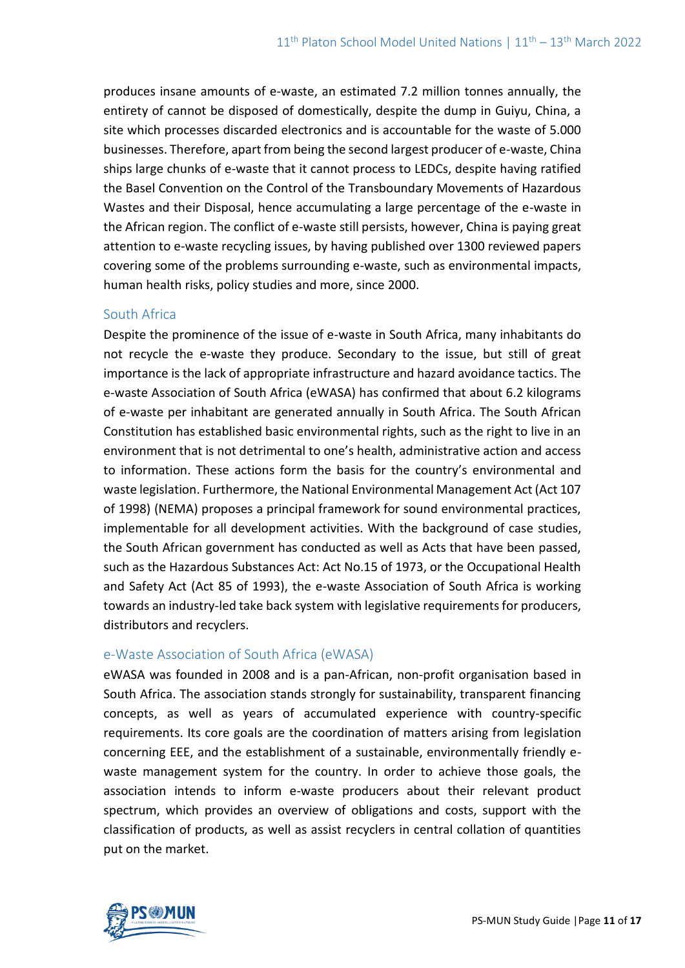produces insane amounts of e-waste, an estimated 7.2 million tonnes annually, the entirety of cannot be disposed of domestically, despite the dump in Guiyu, China, a site which processes discarded electronics and is accountable for the waste of 5.000 businesses. Therefore, apart from being the second largest producer of e-waste, China ships large chunks of e-waste that it cannot process to LEDCs, despite having ratified the Basel Convention on the Control of the Transboundary Movements of Hazardous Wastes and their Disposal, hence accumulating a large percentage of the e-waste in the African region. The conflict of e-waste still persists, however, China is paying great attention to e-waste recycling issues, by having published over 1300 reviewed papers covering some of the problems surrounding e-waste, such as environmental impacts, human health risks, policy studies and more, since 2000.

#### South Africa

Despite the prominence of the issue of e-waste in South Africa, many inhabitants do not recycle the e-waste they produce. Secondary to the issue, but still of great importance is the lack of appropriate infrastructure and hazard avoidance tactics. The e-waste Association of South Africa (eWASA) has confirmed that about 6.2 kilograms of e-waste per inhabitant are generated annually in South Africa. The South African Constitution has established basic environmental rights, such as the right to live in an environment that is not detrimental to one's health, administrative action and access to information. These actions form the basis for the country's environmental and waste legislation. Furthermore, the National Environmental Management Act (Act 107 of 1998) (NEMA) proposes a principal framework for sound environmental practices, implementable for all development activities. With the background of case studies, the South African government has conducted as well as Acts that have been passed, such as the Hazardous Substances Act: Act No.15 of 1973, or the Occupational Health and Safety Act (Act 85 of 1993), the e-waste Association of South Africa is working towards an industry-led take back system with legislative requirements for producers, distributors and recyclers.

#### e-Waste Association of South Africa (eWASA)

eWASA was founded in 2008 and is a pan-African, non-profit organisation based in South Africa. The association stands strongly for sustainability, transparent financing concepts, as well as years of accumulated experience with country-specific requirements. Its core goals are the coordination of matters arising from legislation concerning EEE, and the establishment of a sustainable, environmentally friendly ewaste management system for the country. In order to achieve those goals, the association intends to inform e-waste producers about their relevant product spectrum, which provides an overview of obligations and costs, support with the classification of products, as well as assist recyclers in central collation of quantities put on the market.

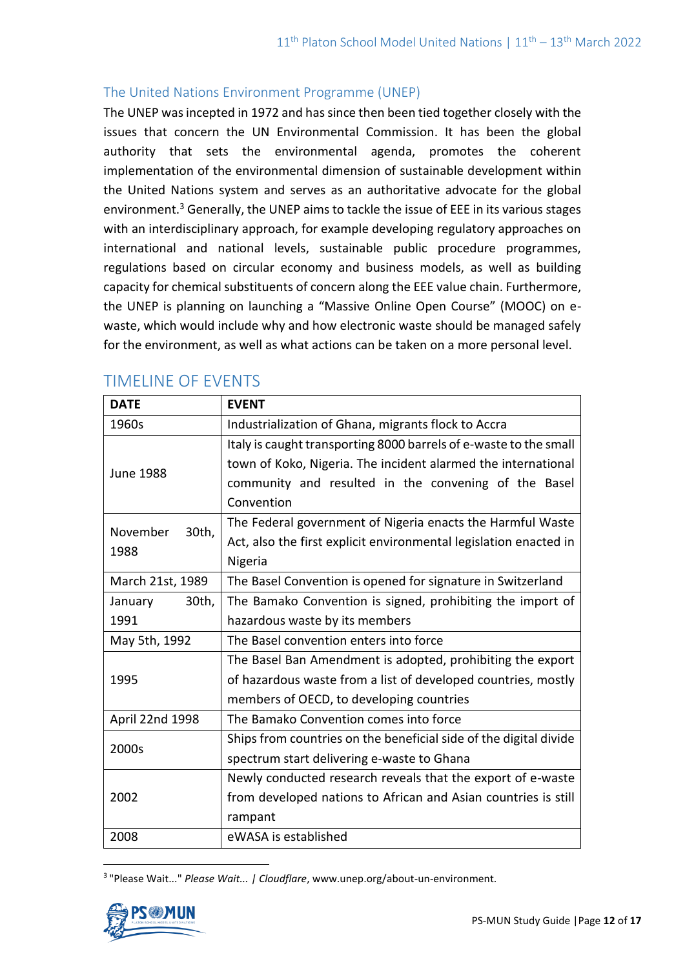### The United Nations Environment Programme (UNEP)

The UNEP was incepted in 1972 and has since then been tied together closely with the issues that concern the UN Environmental Commission. It has been the global authority that sets the environmental agenda, promotes the coherent implementation of the environmental dimension of sustainable development within the [United Nations system](http://www.un.org/) and serves as an authoritative advocate for the global environment.<sup>3</sup> Generally, the UNEP aims to tackle the issue of EEE in its various stages with an interdisciplinary approach, for example developing regulatory approaches on international and national levels, sustainable public procedure programmes, regulations based on circular economy and business models, as well as building capacity for chemical substituents of concern along the EEE value chain. Furthermore, the UNEP is planning on launching a "Massive Online Open Course" (MOOC) on ewaste, which would include why and how electronic waste should be managed safely for the environment, as well as what actions can be taken on a more personal level.

| <b>DATE</b>               | <b>EVENT</b>                                                      |
|---------------------------|-------------------------------------------------------------------|
| 1960s                     | Industrialization of Ghana, migrants flock to Accra               |
| <b>June 1988</b>          | Italy is caught transporting 8000 barrels of e-waste to the small |
|                           | town of Koko, Nigeria. The incident alarmed the international     |
|                           | community and resulted in the convening of the Basel              |
|                           | Convention                                                        |
| November<br>30th,<br>1988 | The Federal government of Nigeria enacts the Harmful Waste        |
|                           | Act, also the first explicit environmental legislation enacted in |
|                           | Nigeria                                                           |
| March 21st, 1989          | The Basel Convention is opened for signature in Switzerland       |
| 30th,<br>January          | The Bamako Convention is signed, prohibiting the import of        |
| 1991                      | hazardous waste by its members                                    |
| May 5th, 1992             | The Basel convention enters into force                            |
| 1995                      | The Basel Ban Amendment is adopted, prohibiting the export        |
|                           | of hazardous waste from a list of developed countries, mostly     |
|                           | members of OECD, to developing countries                          |
| April 22nd 1998           | The Bamako Convention comes into force                            |
| 2000s                     | Ships from countries on the beneficial side of the digital divide |
|                           | spectrum start delivering e-waste to Ghana                        |
| 2002                      | Newly conducted research reveals that the export of e-waste       |
|                           | from developed nations to African and Asian countries is still    |
|                           | rampant                                                           |
| 2008                      | eWASA is established                                              |

# TIMELINE OF EVENTS

3 "Please Wait..." *Please Wait... | Cloudflare*, www.unep.org/about-un-environment.

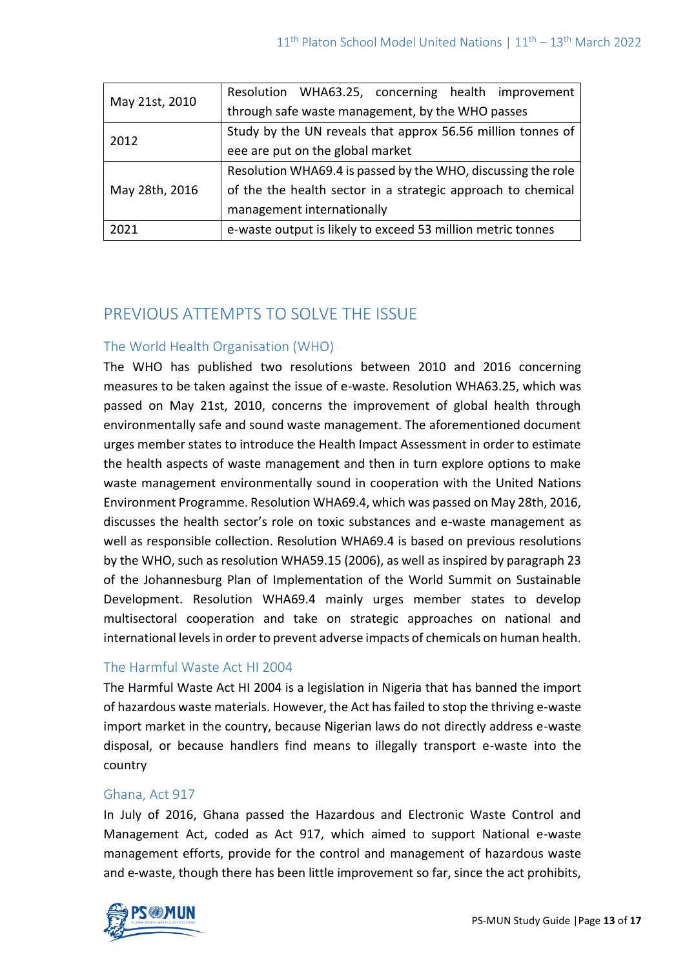| May 21st, 2010 | Resolution WHA63.25, concerning health improvement           |
|----------------|--------------------------------------------------------------|
|                | through safe waste management, by the WHO passes             |
| 2012           | Study by the UN reveals that approx 56.56 million tonnes of  |
|                | eee are put on the global market                             |
| May 28th, 2016 | Resolution WHA69.4 is passed by the WHO, discussing the role |
|                | of the the health sector in a strategic approach to chemical |
|                | management internationally                                   |
| 2021           | e-waste output is likely to exceed 53 million metric tonnes  |

# PREVIOUS ATTEMPTS TO SOLVE THE ISSUE

## The World Health Organisation (WHO)

The WHO has published two resolutions between 2010 and 2016 concerning measures to be taken against the issue of e-waste. Resolution WHA63.25, which was passed on May 21st, 2010, concerns the improvement of global health through environmentally safe and sound waste management. The aforementioned document urges member states to introduce the Health Impact Assessment in order to estimate the health aspects of waste management and then in turn explore options to make waste management environmentally sound in cooperation with the United Nations Environment Programme. Resolution WHA69.4, which was passed on May 28th, 2016, discusses the health sector's role on toxic substances and e-waste management as well as responsible collection. Resolution WHA69.4 is based on previous resolutions by the WHO, such as resolution WHA59.15 (2006), as well as inspired by paragraph 23 of the Johannesburg Plan of Implementation of the World Summit on Sustainable Development. Resolution WHA69.4 mainly urges member states to develop multisectoral cooperation and take on strategic approaches on national and international levels in order to prevent adverse impacts of chemicals on human health.

# The Harmful Waste Act HI 2004

The Harmful Waste Act HI 2004 is a legislation in Nigeria that has banned the import of hazardous waste materials. However, the Act has failed to stop the thriving e-waste import market in the country, because Nigerian laws do not directly address e-waste disposal, or because handlers find means to illegally transport e-waste into the country

## Ghana, Act 917

In July of 2016, Ghana passed the Hazardous and Electronic Waste Control and Management Act, coded as Act 917, which aimed to support National e-waste management efforts, provide for the control and management of hazardous waste and e-waste, though there has been little improvement so far, since the act prohibits,

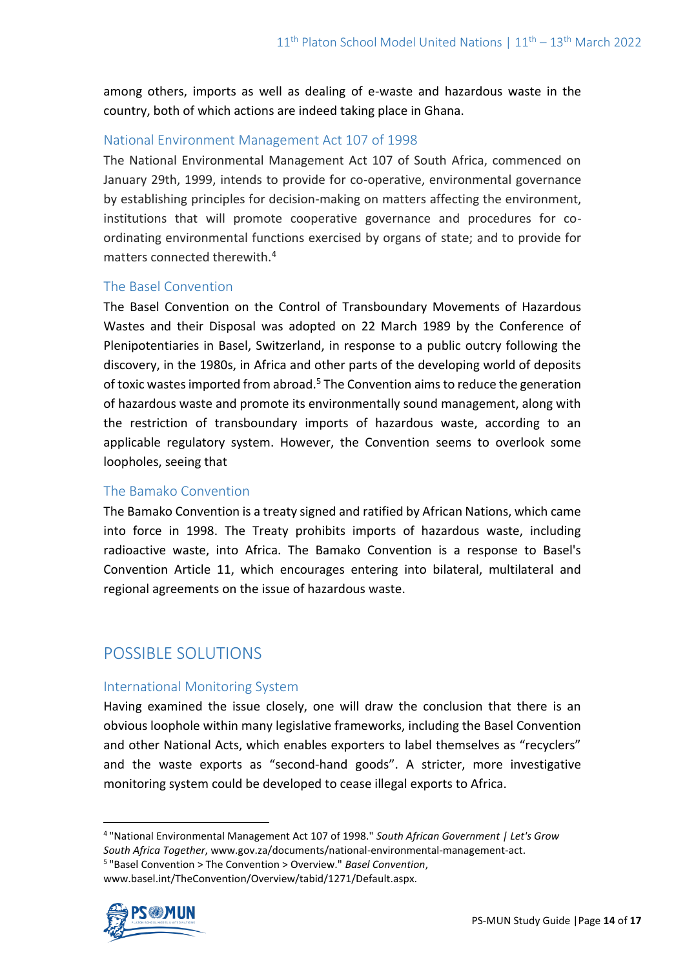among others, imports as well as dealing of e-waste and hazardous waste in the country, both of which actions are indeed taking place in Ghana.

## National Environment Management Act 107 of 1998

The National Environmental Management Act 107 of South Africa, commenced on January 29th, 1999, intends to provide for co-operative, environmental governance by establishing principles for decision-making on matters affecting the environment, institutions that will promote cooperative governance and procedures for coordinating environmental functions exercised by organs of state; and to provide for matters connected therewith.<sup>4</sup>

#### The Basel Convention

The Basel Convention on the Control of Transboundary Movements of Hazardous Wastes and their Disposal was adopted on 22 March 1989 by the Conference of Plenipotentiaries in Basel, Switzerland, in response to a public outcry following the discovery, in the 1980s, in Africa and other parts of the developing world of deposits of toxic wastes imported from abroad.<sup>5</sup> The Convention aims to reduce the generation of hazardous waste and promote its environmentally sound management, along with the restriction of transboundary imports of hazardous waste, according to an applicable regulatory system. However, the Convention seems to overlook some loopholes, seeing that

#### The Bamako Convention

The Bamako Convention is a treaty signed and ratified by African Nations, which came into force in 1998. The Treaty prohibits imports of hazardous waste, including radioactive waste, into Africa. The Bamako Convention is a response to Basel's Convention Article 11, which encourages entering into bilateral, multilateral and regional agreements on the issue of hazardous waste.

# POSSIBLE SOLUTIONS

#### International Monitoring System

Having examined the issue closely, one will draw the conclusion that there is an obvious loophole within many legislative frameworks, including the Basel Convention and other National Acts, which enables exporters to label themselves as "recyclers" and the waste exports as "second-hand goods". A stricter, more investigative monitoring system could be developed to cease illegal exports to Africa.

www.basel.int/TheConvention/Overview/tabid/1271/Default.aspx.



<sup>4</sup> "National Environmental Management Act 107 of 1998." *South African Government | Let's Grow South Africa Together*, www.gov.za/documents/national-environmental-management-act.

<sup>5</sup> "Basel Convention > The Convention > Overview." *Basel Convention*,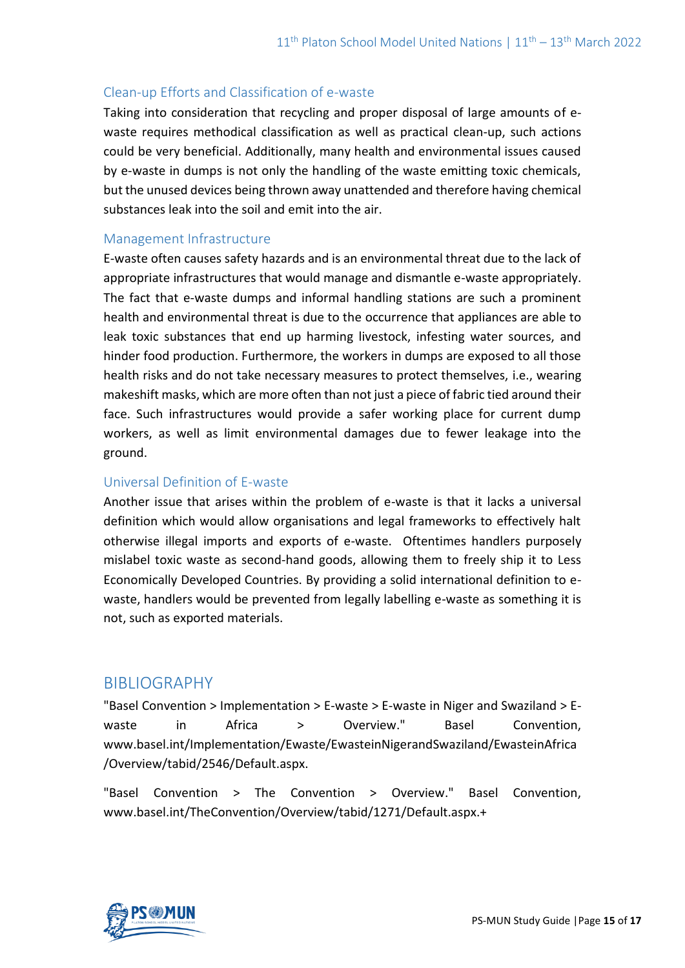# Clean-up Efforts and Classification of e-waste

Taking into consideration that recycling and proper disposal of large amounts of ewaste requires methodical classification as well as practical clean-up, such actions could be very beneficial. Additionally, many health and environmental issues caused by e-waste in dumps is not only the handling of the waste emitting toxic chemicals, but the unused devices being thrown away unattended and therefore having chemical substances leak into the soil and emit into the air.

## Management Infrastructure

E-waste often causes safety hazards and is an environmental threat due to the lack of appropriate infrastructures that would manage and dismantle e-waste appropriately. The fact that e-waste dumps and informal handling stations are such a prominent health and environmental threat is due to the occurrence that appliances are able to leak toxic substances that end up harming livestock, infesting water sources, and hinder food production. Furthermore, the workers in dumps are exposed to all those health risks and do not take necessary measures to protect themselves, i.e., wearing makeshift masks, which are more often than not just a piece of fabric tied around their face. Such infrastructures would provide a safer working place for current dump workers, as well as limit environmental damages due to fewer leakage into the ground.

#### Universal Definition of E-waste

Another issue that arises within the problem of e-waste is that it lacks a universal definition which would allow organisations and legal frameworks to effectively halt otherwise illegal imports and exports of e-waste. Oftentimes handlers purposely mislabel toxic waste as second-hand goods, allowing them to freely ship it to Less Economically Developed Countries. By providing a solid international definition to ewaste, handlers would be prevented from legally labelling e-waste as something it is not, such as exported materials.

# BIBLIOGRAPHY

"Basel Convention > Implementation > E-waste > E-waste in Niger and Swaziland > Ewaste in Africa > Overview." Basel Convention, www.basel.int/Implementation/Ewaste/EwasteinNigerandSwaziland/EwasteinAfrica /Overview/tabid/2546/Default.aspx.

"Basel Convention > The Convention > Overview." Basel Convention, www.basel.int/TheConvention/Overview/tabid/1271/Default.aspx.+

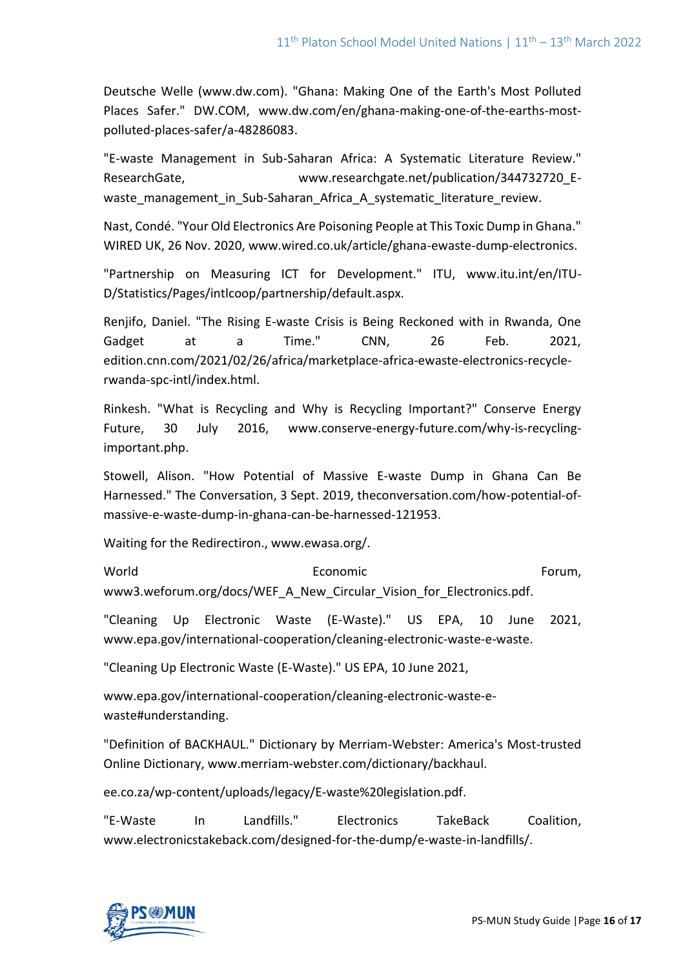Deutsche Welle (www.dw.com). "Ghana: Making One of the Earth's Most Polluted Places Safer." DW.COM, www.dw.com/en/ghana-making-one-of-the-earths-mostpolluted-places-safer/a-48286083.

"E-waste Management in Sub-Saharan Africa: A Systematic Literature Review." ResearchGate, www.researchgate.net/publication/344732720\_Ewaste management in Sub-Saharan Africa A systematic literature review.

Nast, Condé. "Your Old Electronics Are Poisoning People at This Toxic Dump in Ghana." WIRED UK, 26 Nov. 2020, www.wired.co.uk/article/ghana-ewaste-dump-electronics.

"Partnership on Measuring ICT for Development." ITU, www.itu.int/en/ITU-D/Statistics/Pages/intlcoop/partnership/default.aspx.

Renjifo, Daniel. "The Rising E-waste Crisis is Being Reckoned with in Rwanda, One Gadget at a Time." CNN, 26 Feb. 2021, edition.cnn.com/2021/02/26/africa/marketplace-africa-ewaste-electronics-recyclerwanda-spc-intl/index.html.

Rinkesh. "What is Recycling and Why is Recycling Important?" Conserve Energy Future, 30 July 2016, www.conserve-energy-future.com/why-is-recyclingimportant.php.

Stowell, Alison. "How Potential of Massive E-waste Dump in Ghana Can Be Harnessed." The Conversation, 3 Sept. 2019, theconversation.com/how-potential-ofmassive-e-waste-dump-in-ghana-can-be-harnessed-121953.

Waiting for the Redirectiron., www.ewasa.org/.

World **Example 2018** Economic **Forum**, Economic www3.weforum.org/docs/WEF\_A\_New\_Circular\_Vision\_for\_Electronics.pdf.

"Cleaning Up Electronic Waste (E-Waste)." US EPA, 10 June 2021, www.epa.gov/international-cooperation/cleaning-electronic-waste-e-waste.

"Cleaning Up Electronic Waste (E-Waste)." US EPA, 10 June 2021,

www.epa.gov/international-cooperation/cleaning-electronic-waste-ewaste#understanding.

"Definition of BACKHAUL." Dictionary by Merriam-Webster: America's Most-trusted Online Dictionary, www.merriam-webster.com/dictionary/backhaul.

ee.co.za/wp-content/uploads/legacy/E-waste%20legislation.pdf.

"E-Waste In Landfills." Electronics TakeBack Coalition, www.electronicstakeback.com/designed-for-the-dump/e-waste-in-landfills/.